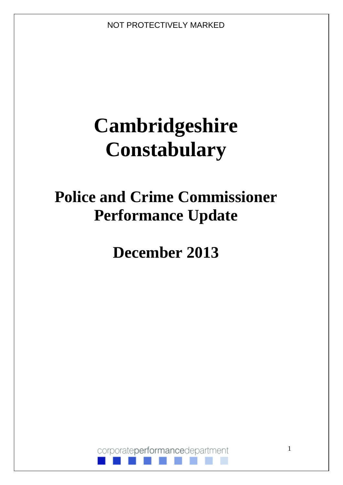# **Cambridgeshire Constabulary**

## **Police and Crime Commissioner Performance Update**

**December 2013**

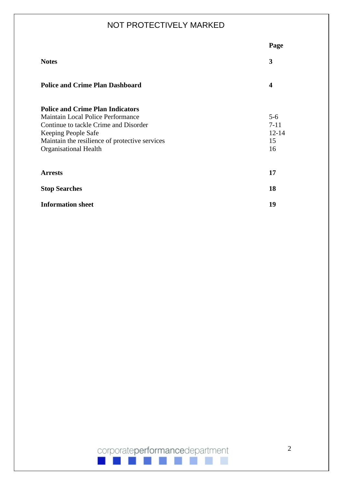|                                                | Page      |
|------------------------------------------------|-----------|
| <b>Notes</b>                                   | 3         |
| <b>Police and Crime Plan Dashboard</b>         | 4         |
| <b>Police and Crime Plan Indicators</b>        |           |
| Maintain Local Police Performance              | $5 - 6$   |
| Continue to tackle Crime and Disorder          | $7 - 11$  |
| Keeping People Safe                            | $12 - 14$ |
| Maintain the resilience of protective services | 15        |
| <b>Organisational Health</b>                   | 16        |
| <b>Arrests</b>                                 | 17        |
| <b>Stop Searches</b>                           | 18        |
| <b>Information sheet</b>                       | 19        |

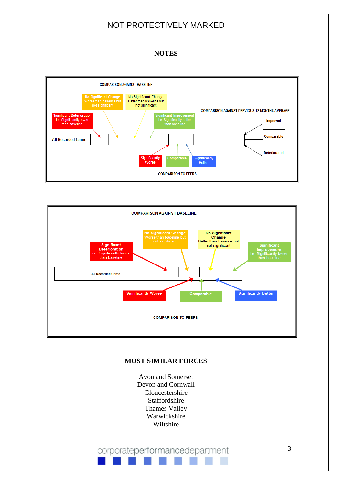#### **NOTES**





#### **MOST SIMILAR FORCES**

Avon and Somerset Devon and Cornwall Gloucestershire Staffordshire Thames Valley Warwickshire Wiltshire

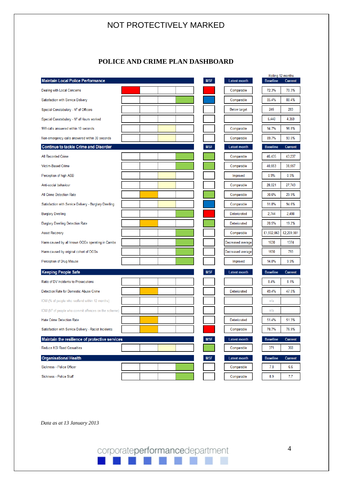#### **POLICE AND CRIME PLAN DASHBOARD**

| <b>Maintain Local Police Performance</b>               |  |  | MSF        | <b>Latest month</b> | <b>Baseline</b> | Rolling 12 months<br><b>Current</b> |
|--------------------------------------------------------|--|--|------------|---------------------|-----------------|-------------------------------------|
| Dealing with Local Concerns                            |  |  |            | Comparable          | 72.3%           | 70.3%                               |
| Satisfaction with Service Delivery                     |  |  |            | Comparable          | 85.4%           | 88.4%                               |
| Special Constabulary - Nº of Officers                  |  |  |            | <b>Below target</b> | 245             | 283                                 |
| Special Constabulary - Nº of Hours worked              |  |  |            |                     | 5,440           | 4,359                               |
| 999 calls answered within 10 seconds                   |  |  |            | Comparable          | 94.7%           | 96.8%                               |
| Non-emergency calls answered within 30 seconds         |  |  |            | Comparable          | 89.7%           | 93.0%                               |
| <b>Continue to tackle Crime and Disorder</b>           |  |  | <b>MSF</b> | <b>Latest month</b> | <b>Baseline</b> | <b>Current</b>                      |
| All Recorded Crime                                     |  |  |            | Comparable          | 46,435          | 43,237                              |
| Victim-Based Crime                                     |  |  |            | Comparable          | 40,653          | 38,557                              |
| Perception of high ASB                                 |  |  |            | Improved            | 0.9%            | 0.9%                                |
| Anti-social behaviour                                  |  |  |            | Comparable          | 28,021          | 27,743                              |
| All Crime Detection Rate                               |  |  |            | Comparable          | 30.6%           | 29.9%                               |
| Satisfaction with Service Delivery - Burglary Dwelling |  |  |            | Comparable          | 91.8%           | 94.6%                               |
| <b>Burglary Dwelling</b>                               |  |  |            | Deteriorated        | 2,744           | 2,498                               |
| <b>Burglary Dwelling Detection Rate</b>                |  |  |            | Deteriorated        | 20.5%           | 19.2%                               |
| <b>Asset Recovery</b>                                  |  |  |            | Comparable          | £1,502,063      | £2,209,901                          |
| Harm caused by all known OCGs operating in Cambs       |  |  |            | Decreased average   | 1630            | 1374                                |
| Harm caused by original cohort of OCGs                 |  |  |            | Decreased average   | 1630            | 793                                 |
| Perception of Drug Misuse                              |  |  |            | Improved            | 14.0%           | 9.9%                                |
| <b>Keeping People Safe</b>                             |  |  | MSF        | Latest month        | <b>Baseline</b> | <b>Current</b>                      |
| Ratio of DV Incidents to Prosecutions                  |  |  |            |                     | 8.4%            | 8.1%                                |
| Detection Rate for Domestic Abuse Crime                |  |  |            | Deteriorated        | 49.4%           | 47.0%                               |
| IOM (% of people who reoffend within 12 months)        |  |  |            |                     | n/a             |                                     |
| IOM (N° of people who commit offences on the scheme)   |  |  |            |                     | n/a             |                                     |
| <b>Hate Crime Detection Rate</b>                       |  |  |            | Deteriorated        | 51.4%           | 51.3%                               |
| Satisfaction with Service Delivery - Racist Incidents  |  |  |            | Comparable          | 78.7%           | 76.9%                               |
| Maintain the resilience of protective services         |  |  | <b>MSF</b> | <b>Latest month</b> | <b>Baseline</b> | <b>Current</b>                      |
| <b>Reduce KSI Road Casualties</b>                      |  |  |            | Comparable          | 371             | 368                                 |
| <b>Organisational Health</b>                           |  |  | <b>MSF</b> | <b>Latest month</b> | <b>Baseline</b> | <b>Current</b>                      |
| Sickness - Police Officer                              |  |  |            | Comparable          | 7.8             | 6.6                                 |
| Sickness - Police Staff                                |  |  |            | Comparable          | 8.9             | 7.7                                 |

*Data as at 13 January 2013*

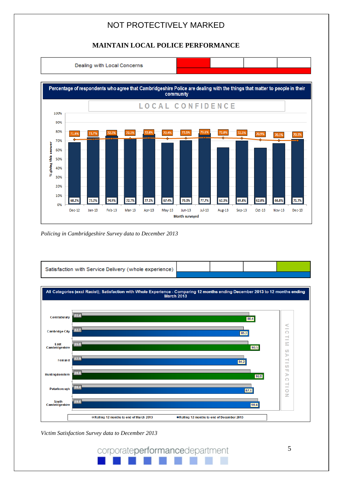#### **MAINTAIN LOCAL POLICE PERFORMANCE**



*Policing in Cambridgeshire Survey data to December 2013*



*Victim Satisfaction Survey data to December 2013*

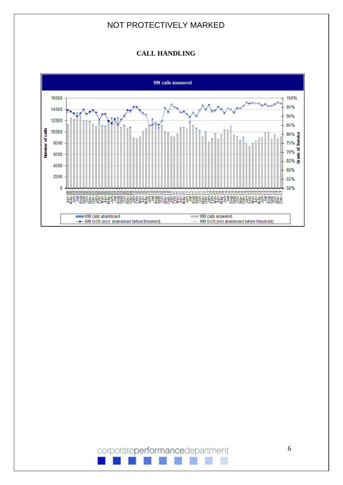#### **CALL HANDLING**



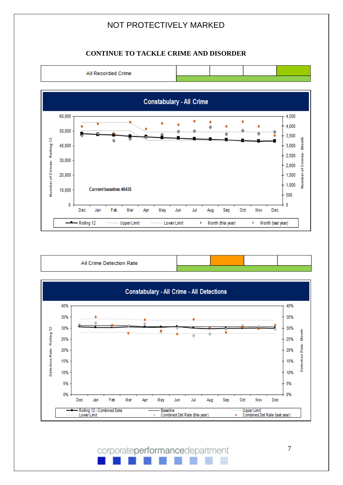#### **CONTINUE TO TACKLE CRIME AND DISORDER**



| All Crime Detection Rate |  |  |
|--------------------------|--|--|
|                          |  |  |

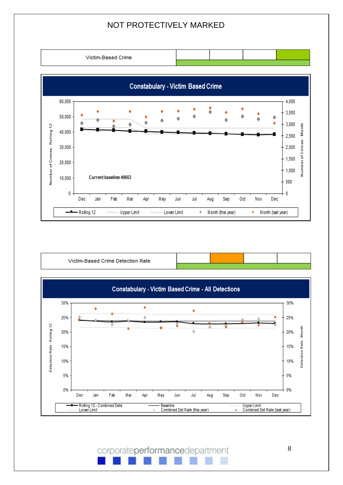

| Victim-Based Crime Detection Rate |  |  |
|-----------------------------------|--|--|
|                                   |  |  |

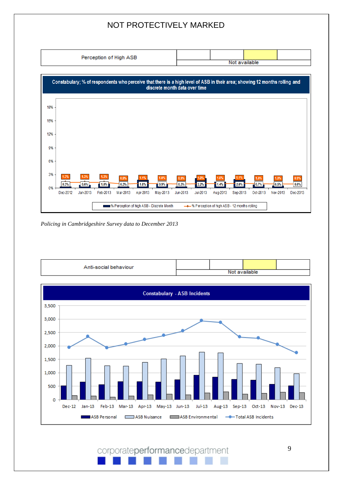

*Policing in Cambridgeshire Survey data to December 2013*

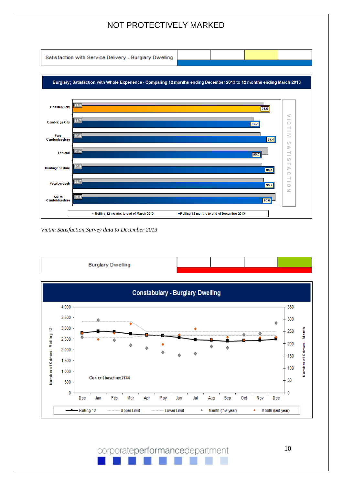Satisfaction with Service Delivery - Burglary Dwelling



*Victim Satisfaction Survey data to December 2013*



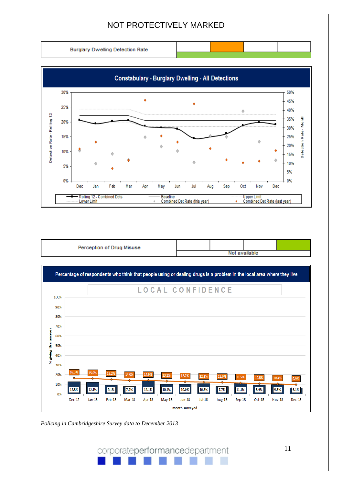**Burglary Dwelling Detection Rate** 



| Perception of Drug Misuse |  |               |  |
|---------------------------|--|---------------|--|
|                           |  | Not available |  |



*Policing in Cambridgeshire Survey data to December 2013*

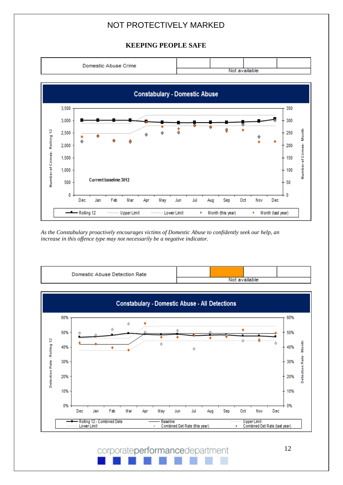#### **KEEPING PEOPLE SAFE**



*As the Constabulary proactively encourages victims of Domestic Abuse to confidently seek our help, an increase in this offence type may not necessarily be a negative indicator.*

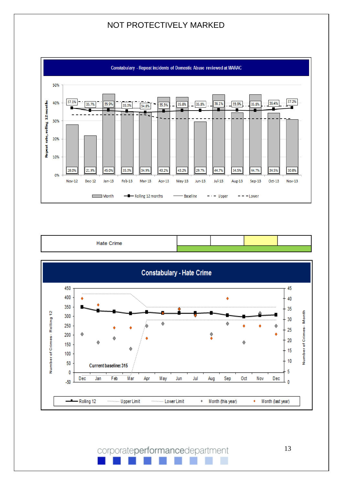



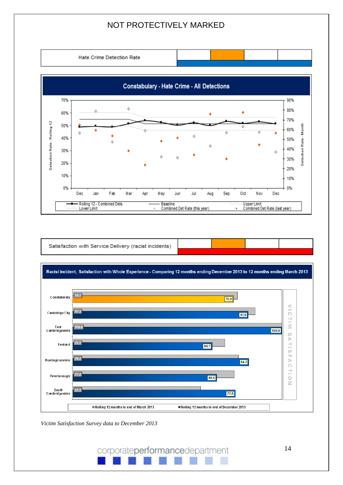**Hate Crime Detection Rate** 



Satisfaction with Service Delivery (racist incidents)



*Victim Satisfaction Survey data to December 2013*

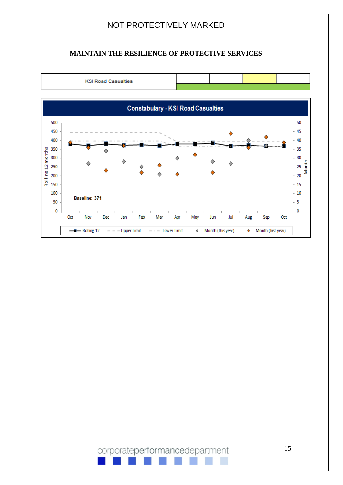#### **MAINTAIN THE RESILIENCE OF PROTECTIVE SERVICES**

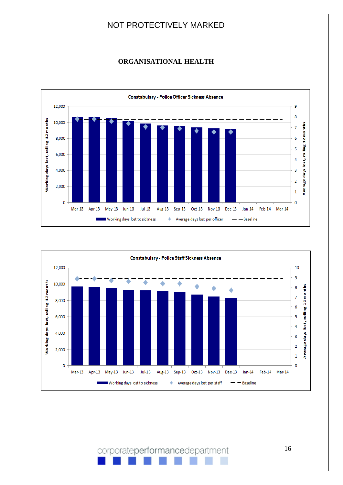#### **ORGANISATIONAL HEALTH**



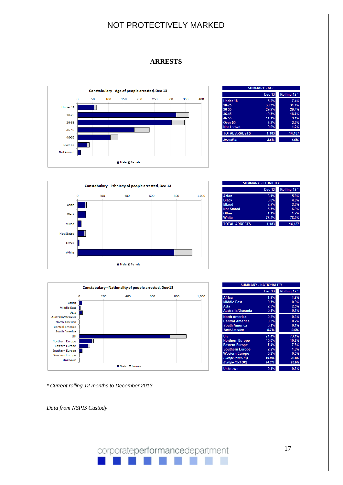#### **ARRESTS**



|                      | <b>SUMMARY - AGE</b> |                         |
|----------------------|----------------------|-------------------------|
|                      | <b>Dec-13</b>        | Rolling 12 <sup>*</sup> |
| <b>Under 18</b>      | 5.2%                 | 7.4%                    |
| 18-25                | 30.5%                | 31.4%                   |
| 26-35                | 29.2%                | 29.4%                   |
| 36.45                | 19.7%                | 18.7%                   |
| 46-55                | 11.1%                | 9.1%                    |
| Over 55              | 3.3%                 | 2.9%                    |
| <b>Not known</b>     | 0.9%                 | 1.2%                    |
| <b>TOTAL ARRESTS</b> | 1.183                | 14.187                  |
| <b>Juveniles</b>     | 3.6%                 | 4.6%                    |



| <b>SUMMARY - ETHNICITY</b> |               |                         |  |  |
|----------------------------|---------------|-------------------------|--|--|
|                            | <b>Dec-13</b> | Rolling 12 <sup>*</sup> |  |  |
| Asian                      | 6.1%          | 5.6%                    |  |  |
| <b>Black</b>               | 6.0%          | 4.8%                    |  |  |
| <b>Mixed</b>               | 2.7%          | 2.6%                    |  |  |
| <b>Not Stated</b>          | 5.7%          | 6.9%                    |  |  |
| Other                      | 1.1%          | 1.2%                    |  |  |
| <b>White</b>               | 78.4%         | 78.9%                   |  |  |
| <b>TOTAL ARRESTS</b>       | 1.183         | 14.187                  |  |  |



| <b>SUMMARY - NATIONALITY</b> |               |             |  |  |
|------------------------------|---------------|-------------|--|--|
|                              | <b>Dec-13</b> | Rolling 12* |  |  |
| <b>Africa</b>                | 1.9%          | 1.7%        |  |  |
| <b>Middle East</b>           | 0.7%          | 0.9%        |  |  |
| Asia                         | 2.5%          | 2.5%        |  |  |
| Australia/Oceania            | 0.1%          | 0.1%        |  |  |
| <b>North America</b>         | 0.3%          | 0.3%        |  |  |
| <b>Central America</b>       | 0.3%          | 0.2%        |  |  |
| <b>South America</b>         | 0.1%          | 0.1%        |  |  |
| <b>Total America</b>         | 0.7%          | 0.5%        |  |  |
| <b>UK</b>                    | 74.4%         | 73.1%       |  |  |
| <b>Northern Europe</b>       | 10.0%         | 10.8%       |  |  |
| <b>Eastern Europe</b>        | 7.4%          | 7.8%        |  |  |
| <b>Southern Europe</b>       | 2.2%          | 1.8%        |  |  |
| <b>Western Europe</b>        | 0.2%          | 0.3%        |  |  |
| <b>Europe (excl UK)</b>      | 19.8%         | 20.8%       |  |  |
| <b>Europe (incl UK)</b>      | 94.2%         | 93.9%       |  |  |
| <b>Unknown</b>               | 0.1%          | 0.3%        |  |  |

 *\* Current rolling 12 months to December 2013*

 *Data from NSPIS Custody*

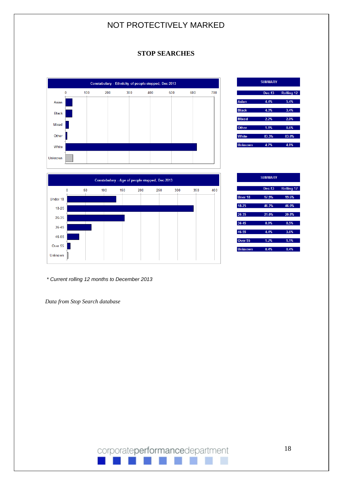#### **STOP SEARCHES**



|                | <b>SUMMARY</b> |            |
|----------------|----------------|------------|
|                | <b>Dec-13</b>  | Rolling 12 |
| <b>Asian</b>   | 4.4%           | 5.4%       |
| <b>Black</b>   | 4.3%           | 3.4%       |
| <b>Mixed</b>   | 2.2%           | 2.0%       |
| Other          | 1.1%           | 0.6%       |
| <b>White</b>   | 83.3%          | 83.8%      |
| <b>Unknown</b> | 4.7%           | 4.8%       |

SUMMARY

 $17.9%$ 

46.2%

 $21.0\%$ 

8.9%

 $4.4%$  $1.2%$ 

 $0.4%$ 

**Ilner 18** 

 $18 - 25$ 

26-35

36.45

46-55

Over 55

**Unknown** 

Dec-13 Rolling

46.0

20.8%

 $1.19$ 

 $0.4%$ 

|           |    | Constabulary - Age of people stopped, Dec-2013 |     |     |     |     |     |     |
|-----------|----|------------------------------------------------|-----|-----|-----|-----|-----|-----|
| 0         | 50 | 100                                            | 150 | 200 | 250 | 300 | 350 | 400 |
| Under 18  |    |                                                |     |     |     |     |     |     |
| $18 - 25$ |    |                                                |     |     |     |     |     |     |
| 26-35     |    |                                                |     |     |     |     |     |     |
| 36-45     |    |                                                |     |     |     |     |     |     |
| 46-55     |    |                                                |     |     |     |     |     |     |
| Over 55   |    |                                                |     |     |     |     |     |     |
| Unknown   |    |                                                |     |     |     |     |     |     |

 *\* Current rolling 12 months to December 2013*

 *Data from Stop Search database*